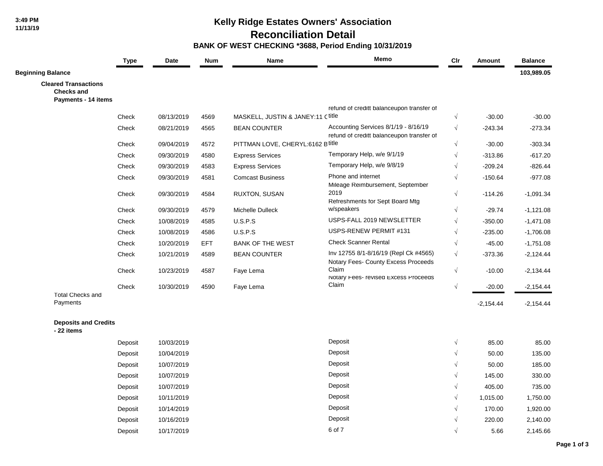## **Kelly Ridge Estates Owners' Association**

 **Reconciliation Detail**

 **BANK OF WEST CHECKING \*3688, Period Ending 10/31/2019**

|                                                                         | <b>Type</b> | Date       | <b>Num</b> | Name                              | Memo                                                                              | $_{\text{Clr}}$ | Amount      | <b>Balance</b> |
|-------------------------------------------------------------------------|-------------|------------|------------|-----------------------------------|-----------------------------------------------------------------------------------|-----------------|-------------|----------------|
| <b>Beginning Balance</b>                                                |             |            |            |                                   |                                                                                   |                 |             | 103,989.05     |
| <b>Cleared Transactions</b><br><b>Checks and</b><br>Payments - 14 items |             |            |            |                                   |                                                                                   |                 |             |                |
|                                                                         |             |            |            |                                   | refund of creditt balanceupon transfer of                                         |                 |             |                |
|                                                                         | Check       | 08/13/2019 | 4569       | MASKELL, JUSTIN & JANEY:11 Ctitle |                                                                                   | $\sqrt{ }$      | $-30.00$    | $-30.00$       |
|                                                                         | Check       | 08/21/2019 | 4565       | <b>BEAN COUNTER</b>               | Accounting Services 8/1/19 - 8/16/19<br>refund of creditt balanceupon transfer of | $\sqrt{ }$      | $-243.34$   | $-273.34$      |
|                                                                         | Check       | 09/04/2019 | 4572       | PITTMAN LOVE, CHERYL:6162 B title |                                                                                   | $\sqrt{ }$      | $-30.00$    | $-303.34$      |
|                                                                         | Check       | 09/30/2019 | 4580       | <b>Express Services</b>           | Temporary Help, w/e 9/1/19                                                        | $\sqrt{ }$      | $-313.86$   | $-617.20$      |
|                                                                         | Check       | 09/30/2019 | 4583       | <b>Express Services</b>           | Temporary Help, w/e 9/8/19                                                        | $\sqrt{}$       | $-209.24$   | $-826.44$      |
|                                                                         | Check       | 09/30/2019 | 4581       | <b>Comcast Business</b>           | Phone and internet<br>Mileage Reimbursement, September                            | $\sqrt{}$       | $-150.64$   | $-977.08$      |
|                                                                         | Check       | 09/30/2019 | 4584       | RUXTON, SUSAN                     | 2019<br>Refreshments for Sept Board Mtg                                           | $\sqrt{}$       | $-114.26$   | $-1,091.34$    |
|                                                                         | Check       | 09/30/2019 | 4579       | Michelle Dulleck                  | w/speakers                                                                        | $\sqrt{ }$      | $-29.74$    | $-1,121.08$    |
|                                                                         | Check       | 10/08/2019 | 4585       | U.S.P.S                           | USPS-FALL 2019 NEWSLETTER                                                         | $\sqrt{ }$      | $-350.00$   | $-1,471.08$    |
|                                                                         | Check       | 10/08/2019 | 4586       | U.S.P.S                           | USPS-RENEW PERMIT #131                                                            | $\sqrt{}$       | $-235.00$   | $-1,706.08$    |
|                                                                         | Check       | 10/20/2019 | EFT.       | <b>BANK OF THE WEST</b>           | <b>Check Scanner Rental</b>                                                       | $\sqrt{}$       | $-45.00$    | $-1,751.08$    |
|                                                                         | Check       | 10/21/2019 | 4589       | <b>BEAN COUNTER</b>               | Inv 12755 8/1-8/16/19 (Repl Ck #4565)<br>Notary Fees- County Excess Proceeds      | $\sqrt{ }$      | $-373.36$   | $-2,124.44$    |
|                                                                         | Check       | 10/23/2019 | 4587       | Faye Lema                         | Claim<br>NOTATY Fees- revised Excess Proceeds                                     | $\sqrt{ }$      | $-10.00$    | $-2,134.44$    |
|                                                                         | Check       | 10/30/2019 | 4590       | Faye Lema                         | Claim                                                                             | $\sqrt{ }$      | $-20.00$    | $-2,154.44$    |
| <b>Total Checks and</b><br>Payments                                     |             |            |            |                                   |                                                                                   |                 | $-2,154.44$ | $-2,154.44$    |
| <b>Deposits and Credits</b><br>- 22 items                               |             |            |            |                                   |                                                                                   |                 |             |                |
|                                                                         | Deposit     | 10/03/2019 |            |                                   | Deposit                                                                           | $\sqrt{ }$      | 85.00       | 85.00          |
|                                                                         | Deposit     | 10/04/2019 |            |                                   | Deposit                                                                           | $\sqrt{}$       | 50.00       | 135.00         |
|                                                                         | Deposit     | 10/07/2019 |            |                                   | Deposit                                                                           | $\sqrt{}$       | 50.00       | 185.00         |
|                                                                         | Deposit     | 10/07/2019 |            |                                   | Deposit                                                                           | $\sqrt{}$       | 145.00      | 330.00         |
|                                                                         | Deposit     | 10/07/2019 |            |                                   | Deposit                                                                           | $\sqrt{ }$      | 405.00      | 735.00         |
|                                                                         | Deposit     | 10/11/2019 |            |                                   | Deposit                                                                           | $\sqrt{ }$      | 1,015.00    | 1,750.00       |
|                                                                         | Deposit     | 10/14/2019 |            |                                   | Deposit                                                                           |                 | 170.00      | 1,920.00       |
|                                                                         | Deposit     | 10/16/2019 |            |                                   | Deposit                                                                           |                 | 220.00      | 2,140.00       |
|                                                                         | Deposit     | 10/17/2019 |            |                                   | 6 of 7                                                                            | $\sqrt{ }$      | 5.66        | 2,145.66       |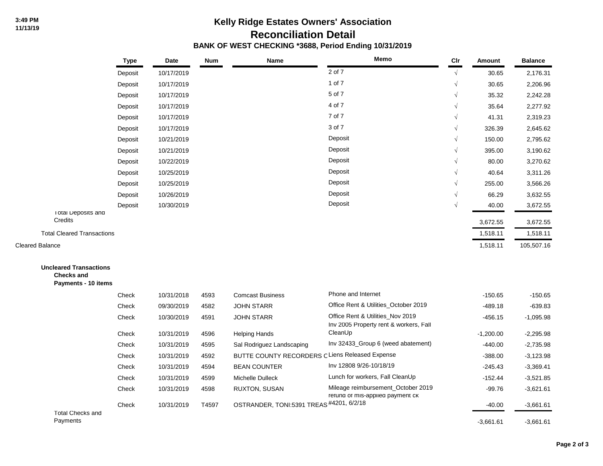## **Kelly Ridge Estates Owners' Association Reconciliation Detail BANK OF WEST CHECKING \*3688, Period Ending 10/31/2019**

|                                                                           | <b>Type</b> | Date       | <b>Num</b> | Name                                            | Memo                                                                       | Clr        | Amount      | <b>Balance</b> |
|---------------------------------------------------------------------------|-------------|------------|------------|-------------------------------------------------|----------------------------------------------------------------------------|------------|-------------|----------------|
|                                                                           | Deposit     | 10/17/2019 |            |                                                 | 2 of 7                                                                     | $\sqrt{ }$ | 30.65       | 2,176.31       |
|                                                                           | Deposit     | 10/17/2019 |            |                                                 | 1 of 7                                                                     |            | 30.65       | 2,206.96       |
|                                                                           | Deposit     | 10/17/2019 |            |                                                 | 5 of 7                                                                     |            | 35.32       | 2,242.28       |
|                                                                           | Deposit     | 10/17/2019 |            |                                                 | 4 of 7                                                                     |            | 35.64       | 2,277.92       |
|                                                                           | Deposit     | 10/17/2019 |            |                                                 | 7 of 7                                                                     |            | 41.31       | 2,319.23       |
|                                                                           | Deposit     | 10/17/2019 |            |                                                 | 3 of 7                                                                     |            | 326.39      | 2,645.62       |
|                                                                           | Deposit     | 10/21/2019 |            |                                                 | Deposit                                                                    |            | 150.00      | 2,795.62       |
|                                                                           | Deposit     | 10/21/2019 |            |                                                 | Deposit                                                                    |            | 395.00      | 3,190.62       |
|                                                                           | Deposit     | 10/22/2019 |            |                                                 | Deposit                                                                    |            | 80.00       | 3,270.62       |
|                                                                           | Deposit     | 10/25/2019 |            |                                                 | Deposit                                                                    |            | 40.64       | 3,311.26       |
|                                                                           | Deposit     | 10/25/2019 |            |                                                 | Deposit                                                                    |            | 255.00      | 3,566.26       |
|                                                                           | Deposit     | 10/26/2019 |            |                                                 | Deposit                                                                    | $\sqrt{ }$ | 66.29       | 3,632.55       |
|                                                                           | Deposit     | 10/30/2019 |            |                                                 | Deposit                                                                    | $\sqrt{ }$ | 40.00       | 3,672.55       |
| I otal Deposits and<br>Credits                                            |             |            |            |                                                 |                                                                            |            | 3,672.55    | 3,672.55       |
| <b>Total Cleared Transactions</b>                                         |             |            |            |                                                 |                                                                            |            | 1,518.11    | 1,518.11       |
| <b>Cleared Balance</b>                                                    |             |            |            |                                                 |                                                                            |            | 1,518.11    | 105,507.16     |
|                                                                           |             |            |            |                                                 |                                                                            |            |             |                |
| <b>Uncleared Transactions</b><br><b>Checks and</b><br>Payments - 10 items |             |            |            |                                                 |                                                                            |            |             |                |
|                                                                           | Check       | 10/31/2018 | 4593       | <b>Comcast Business</b>                         | Phone and Internet                                                         |            | $-150.65$   | $-150.65$      |
|                                                                           | Check       | 09/30/2019 | 4582       | <b>JOHN STARR</b>                               | Office Rent & Utilities_October 2019                                       |            | $-489.18$   | $-639.83$      |
|                                                                           | Check       | 10/30/2019 | 4591       | <b>JOHN STARR</b>                               | Office Rent & Utilities_Nov 2019<br>Inv 2005 Property rent & workers, Fall |            | $-456.15$   | $-1,095.98$    |
|                                                                           | Check       | 10/31/2019 | 4596       | <b>Helping Hands</b>                            | CleanUp                                                                    |            | $-1,200.00$ | $-2,295.98$    |
|                                                                           | Check       | 10/31/2019 | 4595       | Sal Rodriguez Landscaping                       | Inv 32433_Group 6 (weed abatement)                                         |            | $-440.00$   | $-2,735.98$    |
|                                                                           | Check       | 10/31/2019 | 4592       | BUTTE COUNTY RECORDERS C Liens Released Expense |                                                                            |            | $-388.00$   | $-3,123.98$    |
|                                                                           | Check       | 10/31/2019 | 4594       | <b>BEAN COUNTER</b>                             | Inv 12808 9/26-10/18/19                                                    |            | $-245.43$   | $-3,369.41$    |
|                                                                           | Check       | 10/31/2019 | 4599       | Michelle Dulleck                                | Lunch for workers, Fall CleanUp                                            |            | $-152.44$   | $-3,521.85$    |

Check 10/31/2019 4598 RUXTON, SUSAN Mileage reimbursement\_October 2019 -99.76 -3.621.61

Check 10/31/2019 T4597 OSTRANDER, TONI:5391 TREAS<sup>#4201, 6/2/18</sup> -40.00 -3,661.61

refund of mis-applied payment ck

Total Checks and

Payments -3,661.61 -3,661.61